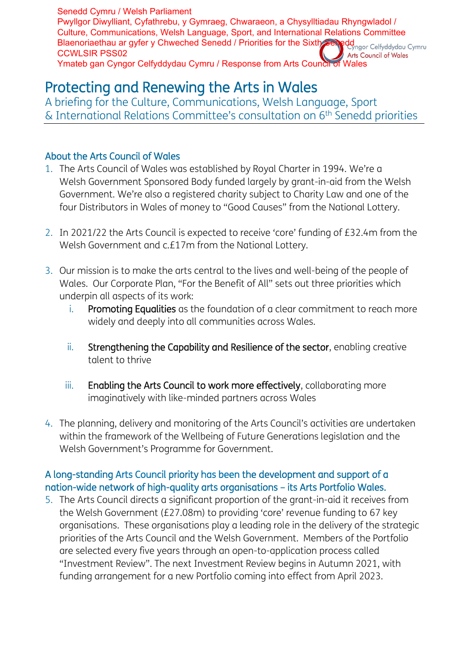# Protecting and Renewing the Arts in Wales

A briefing for the Culture, Communications, Welsh Language, Sport  $\&$  International Relations Committee's consultation on  $6^\text{th}$  Senedd priorities

# About the Arts Council of Wales

- 1. The Arts Council of Wales was established by Royal Charter in 1994. We're a Welsh Government Sponsored Body funded largely by grant-in-aid from the Welsh Government. We're also a registered charity subject to Charity Law and one of the four Distributors in Wales of money to "Good Causes" from the National Lottery.
- 2. In 2021/22 the Arts Council is expected to receive 'core' funding of £32.4m from the Welsh Government and c.£17m from the National Lottery.
- 3. Our mission is to make the arts central to the lives and well-being of the people of Wales. Our Corporate Plan, "For the Benefit of All" sets out three priorities which underpin all aspects of its work:
	- i. Promoting Equalities as the foundation of a clear commitment to reach more widely and deeply into all communities across Wales.
	- ii. Strengthening the Capability and Resilience of the sector, enabling creative talent to thrive
	- iii. Enabling the Arts Council to work more effectively, collaborating more imaginatively with like-minded partners across Wales
- 4. The planning, delivery and monitoring of the Arts Council's activities are undertaken within the framework of the Wellbeing of Future Generations legislation and the Welsh Government's Programme for Government.

# A long-standing Arts Council priority has been the development and support of a nation-wide network of high-quality arts organisations – its Arts Portfolio Wales.

5. The Arts Council directs a significant proportion of the grant-in-aid it receives from the Welsh Government (£27.08m) to providing 'core' revenue funding to 67 key organisations. These organisations play a leading role in the delivery of the strategic priorities of the Arts Council and the Welsh Government. Members of the Portfolio are selected every five years through an open-to-application process called "Investment Review". The next Investment Review begins in Autumn 2021, with funding arrangement for a new Portfolio coming into effect from April 2023.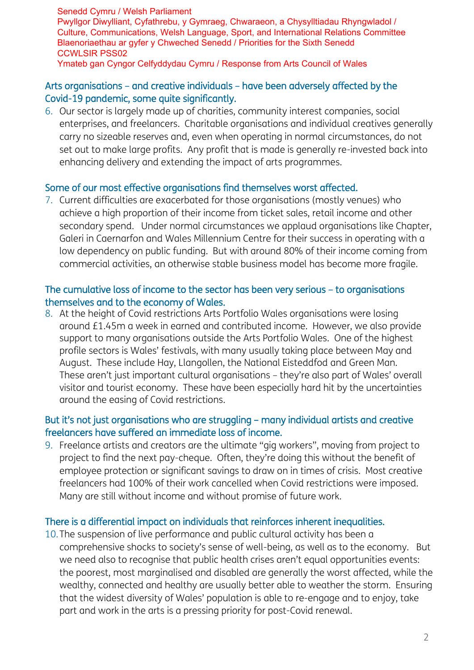## Arts organisations – and creative individuals – have been adversely affected by the Covid-19 pandemic, some quite significantly.

6. Our sector is largely made up of charities, community interest companies, social enterprises, and freelancers. Charitable organisations and individual creatives generally carry no sizeable reserves and, even when operating in normal circumstances, do not set out to make large profits. Any profit that is made is generally re-invested back into enhancing delivery and extending the impact of arts programmes.

#### Some of our most effective organisations find themselves worst affected.

7. Current difficulties are exacerbated for those organisations (mostly venues) who achieve a high proportion of their income from ticket sales, retail income and other secondary spend. Under normal circumstances we applaud organisations like Chapter, Galeri in Caernarfon and Wales Millennium Centre for their success in operating with a low dependency on public funding. But with around 80% of their income coming from commercial activities, an otherwise stable business model has become more fragile.

#### The cumulative loss of income to the sector has been very serious – to organisations themselves and to the economy of Wales.

8. At the height of Covid restrictions Arts Portfolio Wales organisations were losing around £1.45m a week in earned and contributed income. However, we also provide support to many organisations outside the Arts Portfolio Wales. One of the highest profile sectors is Wales' festivals, with many usually taking place between May and August. These include Hay, Llangollen, the National Eisteddfod and Green Man. These aren't just important cultural organisations – they're also part of Wales' overall visitor and tourist economy. These have been especially hard hit by the uncertainties around the easing of Covid restrictions.

## But it's not just organisations who are struggling – many individual artists and creative freelancers have suffered an immediate loss of income.

9. Freelance artists and creators are the ultimate "gig workers", moving from project to project to find the next pay-cheque. Often, they're doing this without the benefit of employee protection or significant savings to draw on in times of crisis. Most creative freelancers had 100% of their work cancelled when Covid restrictions were imposed. Many are still without income and without promise of future work.

#### There is a differential impact on individuals that reinforces inherent inequalities.

10.The suspension of live performance and public cultural activity has been a comprehensive shocks to society's sense of well-being, as well as to the economy. But we need also to recognise that public health crises aren't equal opportunities events: the poorest, most marginalised and disabled are generally the worst affected, while the wealthy, connected and healthy are usually better able to weather the storm. Ensuring that the widest diversity of Wales' population is able to re-engage and to enjoy, take part and work in the arts is a pressing priority for post-Covid renewal.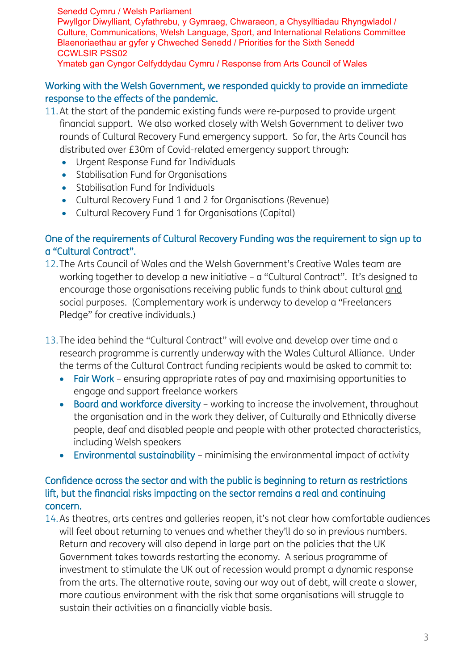Senedd Cymru / Welsh Parliament Pwyllgor Diwylliant, Cyfathrebu, y Gymraeg, Chwaraeon, a Chysylltiadau Rhyngwladol / Culture, Communications, Welsh Language, Sport, and International Relations Committee Blaenoriaethau ar gyfer y Chweched Senedd / Priorities for the Sixth Senedd CCWLSIR PSS02

#### Ymateb gan Cyngor Celfyddydau Cymru / Response from Arts Council of Wales

#### Working with the Welsh Government, we responded quickly to provide an immediate response to the effects of the pandemic.

- 11.At the start of the pandemic existing funds were re-purposed to provide urgent financial support. We also worked closely with Welsh Government to deliver two rounds of Cultural Recovery Fund emergency support. So far, the Arts Council has distributed over £30m of Covid-related emergency support through:
	- Urgent Response Fund for Individuals
	- Stabilisation Fund for Organisations
	- Stabilisation Fund for Individuals
	- Cultural Recovery Fund 1 and 2 for Organisations (Revenue)
	- Cultural Recovery Fund 1 for Organisations (Capital)

## One of the requirements of Cultural Recovery Funding was the requirement to sign up to a "Cultural Contract".

- 12.The Arts Council of Wales and the Welsh Government's Creative Wales team are working together to develop a new initiative – a "Cultural Contract". It's designed to encourage those organisations receiving public funds to think about cultural and social purposes. (Complementary work is underway to develop a "Freelancers Pledge" for creative individuals.)
- 13.The idea behind the "Cultural Contract" will evolve and develop over time and a research programme is currently underway with the Wales Cultural Alliance. Under the terms of the Cultural Contract funding recipients would be asked to commit to:
	- Fair Work ensuring appropriate rates of pay and maximising opportunities to engage and support freelance workers
	- Board and workforce diversity working to increase the involvement, throughout the organisation and in the work they deliver, of Culturally and Ethnically diverse people, deaf and disabled people and people with other protected characteristics, including Welsh speakers
	- Environmental sustainability minimising the environmental impact of activity

## Confidence across the sector and with the public is beginning to return as restrictions lift, but the financial risks impacting on the sector remains a real and continuing concern.

14.As theatres, arts centres and galleries reopen, it's not clear how comfortable audiences will feel about returning to venues and whether they'll do so in previous numbers. Return and recovery will also depend in large part on the policies that the UK Government takes towards restarting the economy. A serious programme of investment to stimulate the UK out of recession would prompt a dynamic response from the arts. The alternative route, saving our way out of debt, will create a slower, more cautious environment with the risk that some organisations will struggle to sustain their activities on a financially viable basis.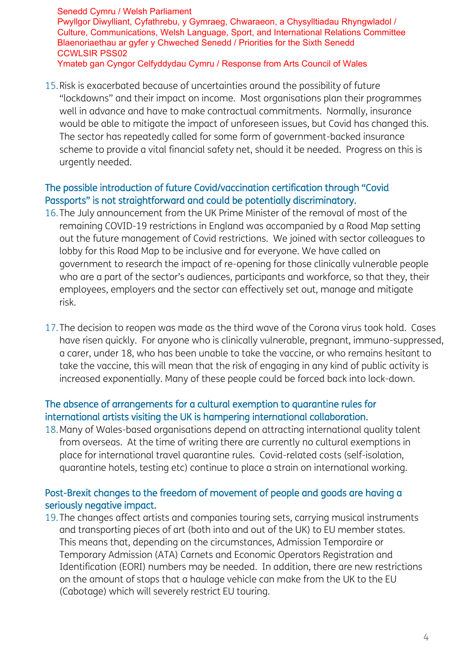15.Risk is exacerbated because of uncertainties around the possibility of future "lockdowns" and their impact on income. Most organisations plan their programmes well in advance and have to make contractual commitments. Normally, insurance would be able to mitigate the impact of unforeseen issues, but Covid has changed this. The sector has repeatedly called for some form of government-backed insurance scheme to provide a vital financial safety net, should it be needed. Progress on this is urgently needed.

## The possible introduction of future Covid/vaccination certification through "Covid Passports" is not straightforward and could be potentially discriminatory.

- 16.The July announcement from the UK Prime Minister of the removal of most of the remaining COVID-19 restrictions in England was accompanied by a Road Map setting out the future management of Covid restrictions. We joined with sector colleagues to lobby for this Road Map to be inclusive and for everyone. We have called on government to research the impact of re-opening for those clinically vulnerable people who are a part of the sector's audiences, participants and workforce, so that they, their employees, employers and the sector can effectively set out, manage and mitigate risk.
- 17.The decision to reopen was made as the third wave of the Corona virus took hold. Cases have risen quickly. For anyone who is clinically vulnerable, pregnant, immuno-suppressed, a carer, under 18, who has been unable to take the vaccine, or who remains hesitant to take the vaccine, this will mean that the risk of engaging in any kind of public activity is increased exponentially. Many of these people could be forced back into lock-down.

# The absence of arrangements for a cultural exemption to quarantine rules for international artists visiting the UK is hampering international collaboration.

18.Many of Wales-based organisations depend on attracting international quality talent from overseas. At the time of writing there are currently no cultural exemptions in place for international travel quarantine rules. Covid-related costs (self-isolation, quarantine hotels, testing etc) continue to place a strain on international working.

# Post-Brexit changes to the freedom of movement of people and goods are having a seriously negative impact.

19.The changes affect artists and companies touring sets, carrying musical instruments and transporting pieces of art (both into and out of the UK) to EU member states. This means that, depending on the circumstances, Admission Temporaire or Temporary Admission (ATA) Carnets and Economic Operators Registration and Identification (EORI) numbers may be needed. In addition, there are new restrictions on the amount of stops that a haulage vehicle can make from the UK to the EU (Cabotage) which will severely restrict EU touring.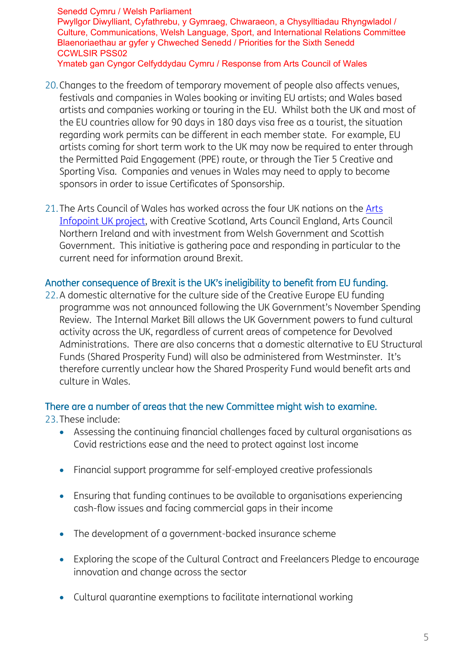- 20.Changes to the freedom of temporary movement of people also affects venues, festivals and companies in Wales booking or inviting EU artists; and Wales based artists and companies working or touring in the EU. Whilst both the UK and most of the EU countries allow for 90 days in 180 days visa free as a tourist, the situation regarding work permits can be different in each member state. For example, EU artists coming for short term work to the UK may now be required to enter through the Permitted Paid Engagement (PPE) route, or through the Tier 5 Creative and Sporting Visa. Companies and venues in Wales may need to apply to become sponsors in order to issue Certificates of Sponsorship.
- 21. The [Arts](https://arts.wales/news-jobs-opportunities/arts-infopoint-uk) Council of Wales has worked across the four UK nations on the Arts [Infopoint UK project,](https://arts.wales/news-jobs-opportunities/arts-infopoint-uk) with Creative Scotland, Arts Council England, Arts Council Northern Ireland and with investment from Welsh Government and Scottish Government. This initiative is gathering pace and responding in particular to the current need for information around Brexit.

#### Another consequence of Brexit is the UK's ineligibility to benefit from EU funding.

22.A domestic alternative for the culture side of the Creative Europe EU funding programme was not announced following the UK Government's November Spending Review. The Internal Market Bill allows the UK Government powers to fund cultural activity across the UK, regardless of current areas of competence for Devolved Administrations. There are also concerns that a domestic alternative to EU Structural Funds (Shared Prosperity Fund) will also be administered from Westminster. It's therefore currently unclear how the Shared Prosperity Fund would benefit arts and culture in Wales.

#### There are a number of areas that the new Committee might wish to examine.

#### 23.These include:

- Assessing the continuing financial challenges faced by cultural organisations as Covid restrictions ease and the need to protect against lost income
- Financial support programme for self-employed creative professionals
- Ensuring that funding continues to be available to organisations experiencing cash-flow issues and facing commercial gaps in their income
- The development of a government-backed insurance scheme
- Exploring the scope of the Cultural Contract and Freelancers Pledge to encourage innovation and change across the sector
- Cultural quarantine exemptions to facilitate international working